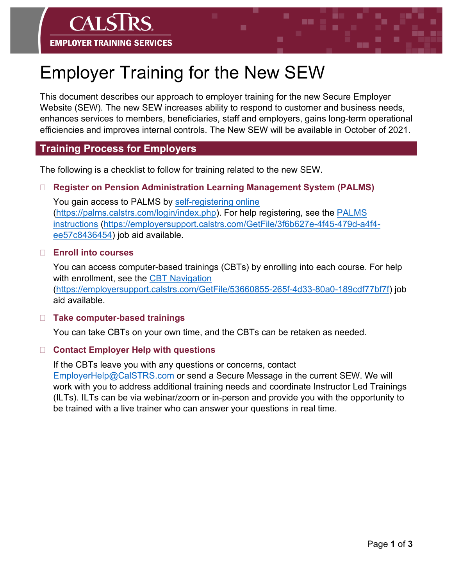# Employer Training for the New SEW

This document describes our approach to employer training for the new Secure Employer Website (SEW). The new SEW increases ability to respond to customer and business needs, enhances services to members, beneficiaries, staff and employers, gains long-term operational efficiencies and improves internal controls. The New SEW will be available in October of 2021.

#### **Training Process for Employers**

**EMPLOYER TRAINING SERVICES** 

The following is a checklist to follow for training related to the new SEW.

#### **Register on Pension Administration Learning Management System (PALMS)**

You gain access to PALMS by [self-registering online](https://palms.calstrs.com/login/index.php) [\(https://palms.calstrs.com/login/index.php\)](https://palms.calstrs.com/login/index.php). For help registering, see the [PALMS](https://employersupport.calstrs.com/GetFile/3f6b627e-4f45-479d-a4f4-ee57c8436454)  [instructions](https://employersupport.calstrs.com/GetFile/3f6b627e-4f45-479d-a4f4-ee57c8436454) [\(https://employersupport.calstrs.com/GetFile/3f6b627e-4f45-479d-a4f4](https://employersupport.calstrs.com/GetFile/3f6b627e-4f45-479d-a4f4-ee57c8436454) [ee57c8436454\)](https://employersupport.calstrs.com/GetFile/3f6b627e-4f45-479d-a4f4-ee57c8436454) job aid available.

#### **Enroll into courses**

You can access computer-based trainings (CBTs) by enrolling into each course. For help with enrollment, see the [CBT Navigation](https://employersupport.calstrs.com/GetFile/53660855-265f-4d33-80a0-189cdf77bf7f)

[\(https://employersupport.calstrs.com/GetFile/53660855-265f-4d33-80a0-189cdf77bf7f\)](https://employersupport.calstrs.com/GetFile/53660855-265f-4d33-80a0-189cdf77bf7f) job aid available.

#### **Take computer-based trainings**

You can take CBTs on your own time, and the CBTs can be retaken as needed.

#### **Contact Employer Help with questions**

If the CBTs leave you with any questions or concerns, contact [EmployerHelp@CalSTRS.com](mailto:EmployerHelp@CalSTRS.com) or send a Secure Message in the current SEW. We will work with you to address additional training needs and coordinate Instructor Led Trainings (ILTs). ILTs can be via webinar/zoom or in-person and provide you with the opportunity to be trained with a live trainer who can answer your questions in real time.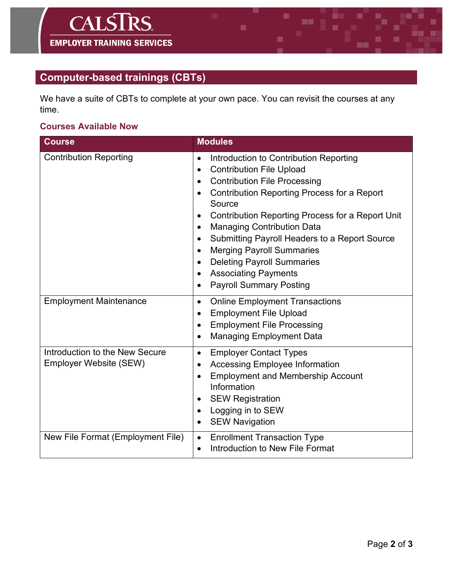## **Computer-based trainings (CBTs)**

We have a suite of CBTs to complete at your own pace. You can revisit the courses at any time.

### **Courses Available Now**

| <b>Course</b>                                            | <b>Modules</b>                                                                                                                                                                                                                                                                                                                                                                                                                                                                                                           |
|----------------------------------------------------------|--------------------------------------------------------------------------------------------------------------------------------------------------------------------------------------------------------------------------------------------------------------------------------------------------------------------------------------------------------------------------------------------------------------------------------------------------------------------------------------------------------------------------|
| <b>Contribution Reporting</b>                            | Introduction to Contribution Reporting<br><b>Contribution File Upload</b><br>$\bullet$<br><b>Contribution File Processing</b><br>$\bullet$<br><b>Contribution Reporting Process for a Report</b><br>Source<br>Contribution Reporting Process for a Report Unit<br><b>Managing Contribution Data</b><br>$\bullet$<br>Submitting Payroll Headers to a Report Source<br><b>Merging Payroll Summaries</b><br><b>Deleting Payroll Summaries</b><br>$\bullet$<br><b>Associating Payments</b><br><b>Payroll Summary Posting</b> |
| <b>Employment Maintenance</b>                            | <b>Online Employment Transactions</b><br>$\bullet$<br><b>Employment File Upload</b><br>$\bullet$<br><b>Employment File Processing</b><br><b>Managing Employment Data</b>                                                                                                                                                                                                                                                                                                                                                 |
| Introduction to the New Secure<br>Employer Website (SEW) | <b>Employer Contact Types</b><br>$\bullet$<br><b>Accessing Employee Information</b><br><b>Employment and Membership Account</b><br>Information<br><b>SEW Registration</b><br>Logging in to SEW<br><b>SEW Navigation</b>                                                                                                                                                                                                                                                                                                  |
| New File Format (Employment File)                        | <b>Enrollment Transaction Type</b><br>$\bullet$<br>Introduction to New File Format<br>$\bullet$                                                                                                                                                                                                                                                                                                                                                                                                                          |